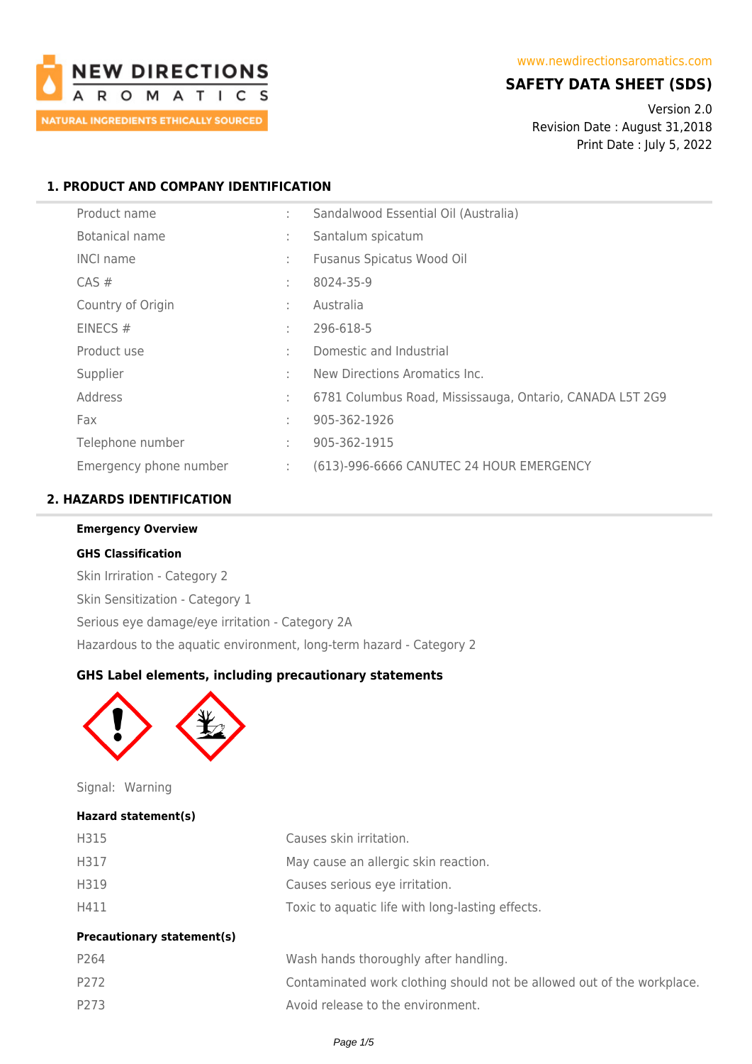

# **SAFETY DATA SHEET (SDS)**

Version 2.0 Revision Date : August 31,2018 Print Date : July 5, 2022

## **1. PRODUCT AND COMPANY IDENTIFICATION**

| Product name           | ٠  | Sandalwood Essential Oil (Australia)                     |
|------------------------|----|----------------------------------------------------------|
| Botanical name         | ÷  | Santalum spicatum                                        |
| <b>INCI name</b>       | ÷  | Fusanus Spicatus Wood Oil                                |
| $CAS \#$               | ÷  | 8024-35-9                                                |
| Country of Origin      | ÷  | Australia                                                |
| EINECS $#$             | ٠  | 296-618-5                                                |
| Product use            | ÷  | Domestic and Industrial                                  |
| Supplier               | ٠  | New Directions Aromatics Inc.                            |
| Address                | ÷  | 6781 Columbus Road, Mississauga, Ontario, CANADA L5T 2G9 |
| Fax                    | ÷  | 905-362-1926                                             |
| Telephone number       | ÷  | 905-362-1915                                             |
| Emergency phone number | ÷. | (613)-996-6666 CANUTEC 24 HOUR EMERGENCY                 |

## **2. HAZARDS IDENTIFICATION**

| <b>Emergency Overview</b>                                           |  |  |  |  |
|---------------------------------------------------------------------|--|--|--|--|
| <b>GHS Classification</b>                                           |  |  |  |  |
| Skin Irriration - Category 2                                        |  |  |  |  |
| Skin Sensitization - Category 1                                     |  |  |  |  |
| Serious eye damage/eye irritation - Category 2A                     |  |  |  |  |
| Hazardous to the aquatic environment, long-term hazard - Category 2 |  |  |  |  |

## **GHS Label elements, including precautionary statements**



Signal: Warning

#### **Hazard statement(s)**

| H315                              | Causes skin irritation.                                                |
|-----------------------------------|------------------------------------------------------------------------|
| H317                              | May cause an allergic skin reaction.                                   |
| H319                              | Causes serious eye irritation.                                         |
| H411                              | Toxic to aquatic life with long-lasting effects.                       |
| <b>Precautionary statement(s)</b> |                                                                        |
| P264                              | Wash hands thoroughly after handling.                                  |
| P272                              | Contaminated work clothing should not be allowed out of the workplace. |

P273 Avoid release to the environment.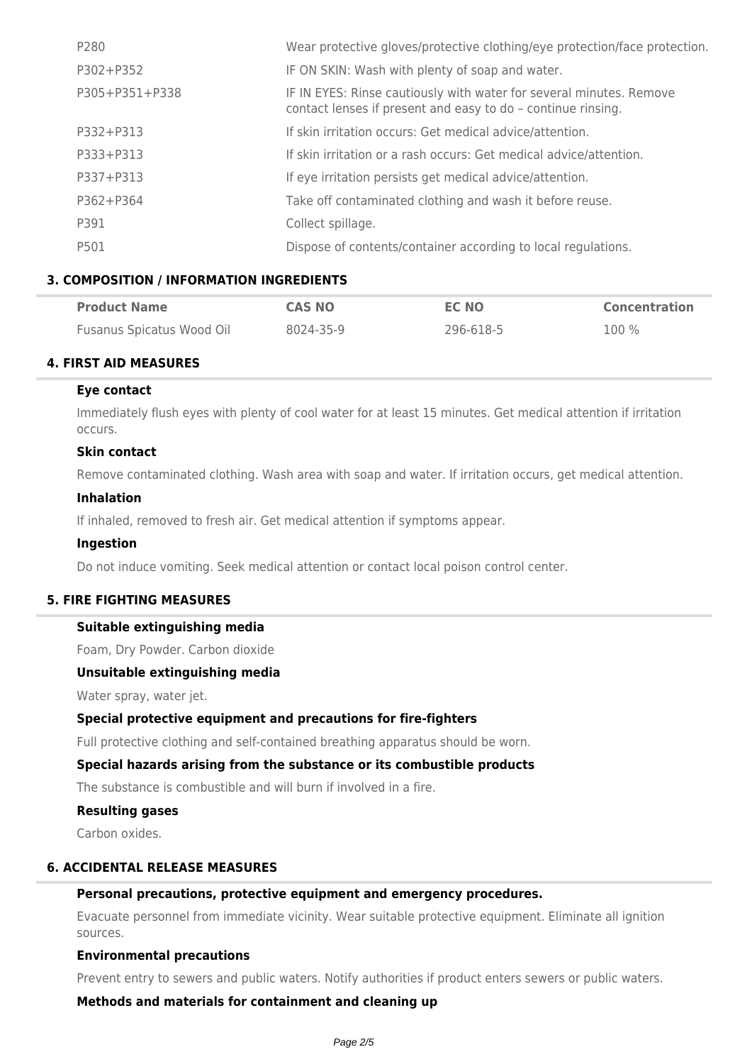| P280           | Wear protective gloves/protective clothing/eye protection/face protection.                                                          |
|----------------|-------------------------------------------------------------------------------------------------------------------------------------|
| P302+P352      | IF ON SKIN: Wash with plenty of soap and water.                                                                                     |
| P305+P351+P338 | IF IN EYES: Rinse cautiously with water for several minutes. Remove<br>contact lenses if present and easy to do - continue rinsing. |
| P332+P313      | If skin irritation occurs: Get medical advice/attention.                                                                            |
| P333+P313      | If skin irritation or a rash occurs: Get medical advice/attention.                                                                  |
| P337+P313      | If eye irritation persists get medical advice/attention.                                                                            |
| P362+P364      | Take off contaminated clothing and wash it before reuse.                                                                            |
| P391           | Collect spillage.                                                                                                                   |
| P501           | Dispose of contents/container according to local regulations.                                                                       |

### **3. COMPOSITION / INFORMATION INGREDIENTS**

| <b>Product Name</b>       | <b>CAS NO</b> | EC NO     | <b>Concentration</b> |
|---------------------------|---------------|-----------|----------------------|
| Fusanus Spicatus Wood Oil | 8024-35-9     | 296-618-5 | 100 %                |

#### **4. FIRST AID MEASURES**

#### **Eye contact**

Immediately flush eyes with plenty of cool water for at least 15 minutes. Get medical attention if irritation occurs.

### **Skin contact**

Remove contaminated clothing. Wash area with soap and water. If irritation occurs, get medical attention.

#### **Inhalation**

If inhaled, removed to fresh air. Get medical attention if symptoms appear.

#### **Ingestion**

Do not induce vomiting. Seek medical attention or contact local poison control center.

#### **5. FIRE FIGHTING MEASURES**

#### **Suitable extinguishing media**

Foam, Dry Powder. Carbon dioxide

### **Unsuitable extinguishing media**

Water spray, water jet.

#### **Special protective equipment and precautions for fire-fighters**

Full protective clothing and self-contained breathing apparatus should be worn.

#### **Special hazards arising from the substance or its combustible products**

The substance is combustible and will burn if involved in a fire.

## **Resulting gases**

Carbon oxides.

### **6. ACCIDENTAL RELEASE MEASURES**

#### **Personal precautions, protective equipment and emergency procedures.**

Evacuate personnel from immediate vicinity. Wear suitable protective equipment. Eliminate all ignition sources.

#### **Environmental precautions**

Prevent entry to sewers and public waters. Notify authorities if product enters sewers or public waters.

**Methods and materials for containment and cleaning up**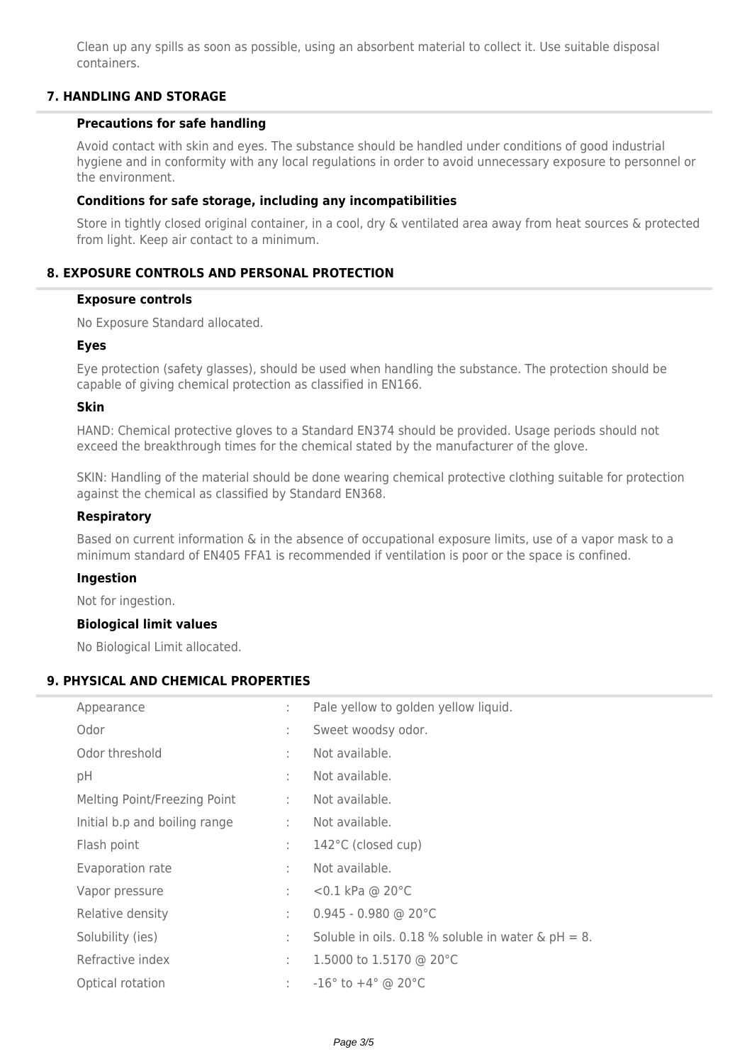Clean up any spills as soon as possible, using an absorbent material to collect it. Use suitable disposal containers.

### **7. HANDLING AND STORAGE**

#### **Precautions for safe handling**

Avoid contact with skin and eyes. The substance should be handled under conditions of good industrial hygiene and in conformity with any local regulations in order to avoid unnecessary exposure to personnel or the environment.

### **Conditions for safe storage, including any incompatibilities**

Store in tightly closed original container, in a cool, dry & ventilated area away from heat sources & protected from light. Keep air contact to a minimum.

## **8. EXPOSURE CONTROLS AND PERSONAL PROTECTION**

#### **Exposure controls**

No Exposure Standard allocated.

#### **Eyes**

Eye protection (safety glasses), should be used when handling the substance. The protection should be capable of giving chemical protection as classified in EN166.

#### **Skin**

HAND: Chemical protective gloves to a Standard EN374 should be provided. Usage periods should not exceed the breakthrough times for the chemical stated by the manufacturer of the glove.

SKIN: Handling of the material should be done wearing chemical protective clothing suitable for protection against the chemical as classified by Standard EN368.

#### **Respiratory**

Based on current information & in the absence of occupational exposure limits, use of a vapor mask to a minimum standard of EN405 FFA1 is recommended if ventilation is poor or the space is confined.

#### **Ingestion**

Not for ingestion.

#### **Biological limit values**

No Biological Limit allocated.

#### **9. PHYSICAL AND CHEMICAL PROPERTIES**

| Appearance                    | ÷              | Pale yellow to golden yellow liquid.                  |
|-------------------------------|----------------|-------------------------------------------------------|
| Odor                          | ÷              | Sweet woodsy odor.                                    |
| Odor threshold                | ÷              | Not available.                                        |
| pH                            | ÷              | Not available.                                        |
| Melting Point/Freezing Point  | t.             | Not available.                                        |
| Initial b.p and boiling range | $\mathbb{R}^n$ | Not available.                                        |
| Flash point                   | t.             | 142°C (closed cup)                                    |
| Evaporation rate              | ÷              | Not available.                                        |
| Vapor pressure                | ÷              | <0.1 kPa @ 20°C                                       |
| Relative density              | ÷              | $0.945 - 0.980$ @ 20°C                                |
| Solubility (ies)              | ÷              | Soluble in oils. 0.18 % soluble in water & $pH = 8$ . |
| Refractive index              | ÷.             | 1.5000 to 1.5170 @ 20°C                               |
| Optical rotation              | ÷              | $-16^{\circ}$ to $+4^{\circ}$ @ 20 $^{\circ}$ C       |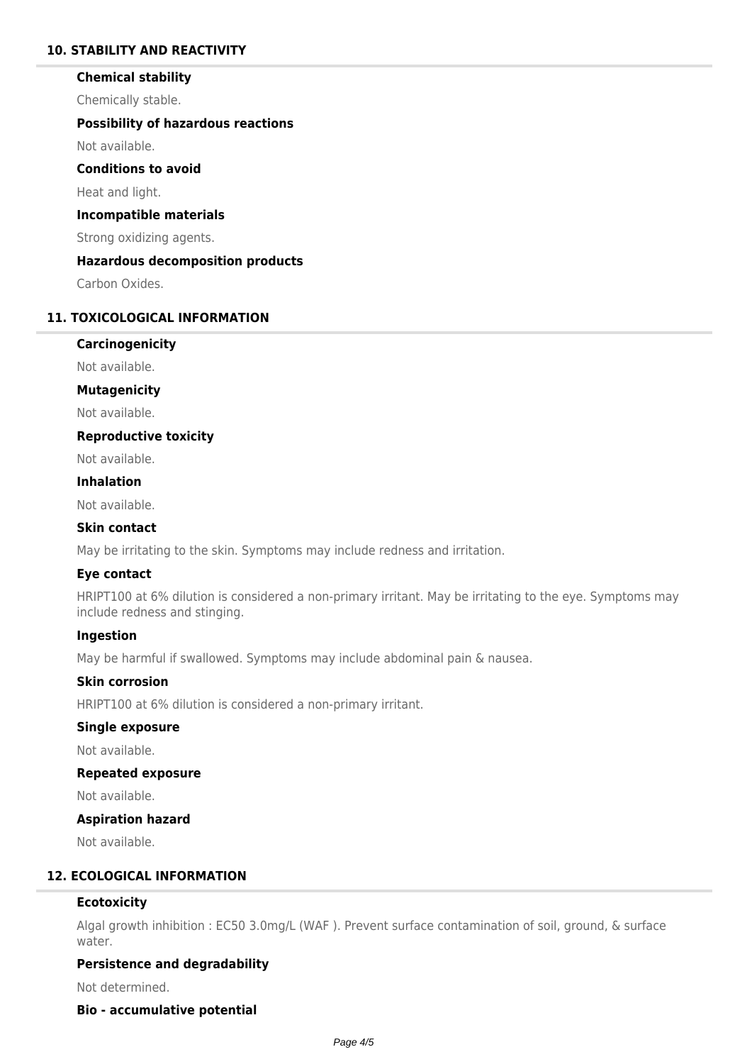## **10. STABILITY AND REACTIVITY**

#### **Chemical stability**

Chemically stable.

#### **Possibility of hazardous reactions**

Not available.

### **Conditions to avoid**

Heat and light.

#### **Incompatible materials**

Strong oxidizing agents.

### **Hazardous decomposition products**

Carbon Oxides.

## **11. TOXICOLOGICAL INFORMATION**

### **Carcinogenicity**

Not available.

#### **Mutagenicity**

Not available.

#### **Reproductive toxicity**

Not available.

### **Inhalation**

Not available.

#### **Skin contact**

May be irritating to the skin. Symptoms may include redness and irritation.

## **Eye contact**

HRIPT100 at 6% dilution is considered a non-primary irritant. May be irritating to the eye. Symptoms may include redness and stinging.

### **Ingestion**

May be harmful if swallowed. Symptoms may include abdominal pain & nausea.

#### **Skin corrosion**

HRIPT100 at 6% dilution is considered a non-primary irritant.

#### **Single exposure**

Not available.

#### **Repeated exposure**

Not available.

#### **Aspiration hazard**

Not available.

## **12. ECOLOGICAL INFORMATION**

#### **Ecotoxicity**

Algal growth inhibition : EC50 3.0mg/L (WAF ). Prevent surface contamination of soil, ground, & surface water.

### **Persistence and degradability**

Not determined.

#### **Bio - accumulative potential**